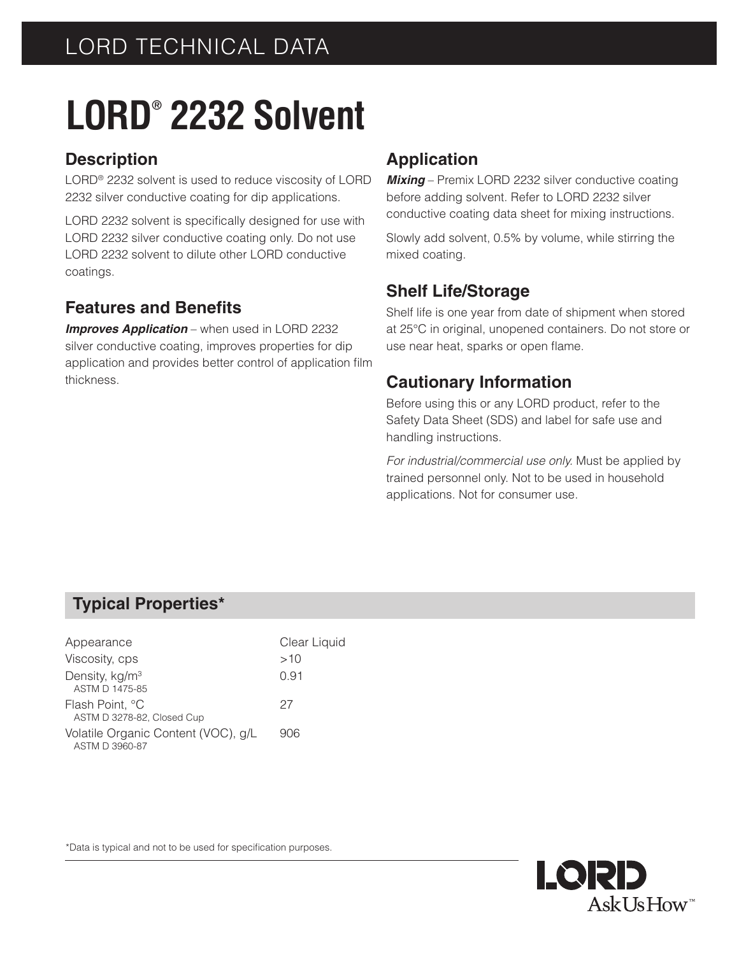# **LORD® 2232 Solvent**

## **Description**

LORD® 2232 solvent is used to reduce viscosity of LORD 2232 silver conductive coating for dip applications.

LORD 2232 solvent is specifically designed for use with LORD 2232 silver conductive coating only. Do not use LORD 2232 solvent to dilute other LORD conductive coatings.

## **Features and Benefits**

*Improves Application* – when used in LORD 2232 silver conductive coating, improves properties for dip application and provides better control of application film thickness.

## **Application**

*Mixing* – Premix LORD 2232 silver conductive coating before adding solvent. Refer to LORD 2232 silver conductive coating data sheet for mixing instructions.

Slowly add solvent, 0.5% by volume, while stirring the mixed coating.

### **Shelf Life/Storage**

Shelf life is one year from date of shipment when stored at 25°C in original, unopened containers. Do not store or use near heat, sparks or open flame.

## **Cautionary Information**

Before using this or any LORD product, refer to the Safety Data Sheet (SDS) and label for safe use and handling instructions.

*For industrial/commercial use only.* Must be applied by trained personnel only. Not to be used in household applications. Not for consumer use.

### **Typical Properties\***

| Appearance                                            | Clear Liquid |
|-------------------------------------------------------|--------------|
| Viscosity, cps                                        | >10          |
| Density, kg/m <sup>3</sup><br>ASTM D 1475-85          | 0.91         |
| Flash Point, °C<br>ASTM D 3278-82, Closed Cup         | 27           |
| Volatile Organic Content (VOC), g/L<br>ASTM D 3960-87 | 906          |

\*Data is typical and not to be used for specification purposes.